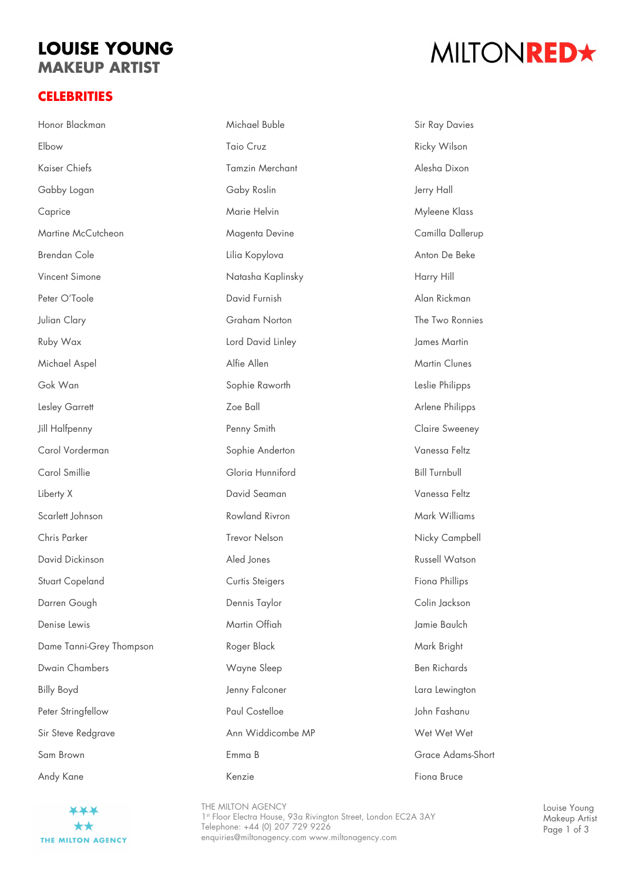## **LOUISE YOUNG MAKEUP ARTIST**

#### **CELEBRITIES**

# MILTONRED\*

| Honor Blackman           | Michael Buble          | <b>Sir Ray Davies</b> |
|--------------------------|------------------------|-----------------------|
| Elbow                    | Taio Cruz              | Ricky Wilson          |
| Kaiser Chiefs            | <b>Tamzin Merchant</b> | Alesha Dixon          |
| Gabby Logan              | Gaby Roslin            | Jerry Hall            |
| Caprice                  | Marie Helvin           | Myleene Klass         |
| Martine McCutcheon       | Magenta Devine         | Camilla Dallerup      |
| <b>Brendan Cole</b>      | Lilia Kopylova         | Anton De Beke         |
| Vincent Simone           | Natasha Kaplinsky      | Harry Hill            |
| Peter O'Toole            | David Furnish          | Alan Rickman          |
| Julian Clary             | Graham Norton          | The Two Ronnies       |
| Ruby Wax                 | Lord David Linley      | James Martin          |
| Michael Aspel            | Alfie Allen            | <b>Martin Clunes</b>  |
| Gok Wan                  | Sophie Raworth         | Leslie Philipps       |
| Lesley Garrett           | Zoe Ball               | Arlene Philipps       |
| Jill Halfpenny           | Penny Smith            | Claire Sweeney        |
| Carol Vorderman          | Sophie Anderton        | Vanessa Feltz         |
| Carol Smillie            | Gloria Hunniford       | <b>Bill Turnbull</b>  |
| Liberty X                | David Seaman           | Vanessa Feltz         |
| Scarlett Johnson         | Rowland Rivron         | Mark Williams         |
| Chris Parker             | Trevor Nelson          | Nicky Campbell        |
| David Dickinson          | Aled Jones             | <b>Russell Watson</b> |
| <b>Stuart Copeland</b>   | Curtis Steigers        | Fiona Phillips        |
| Darren Gough             | Dennis Taylor          | Colin Jackson         |
| Denise Lewis             | Martin Offiah          | Jamie Baulch          |
| Dame Tanni-Grey Thompson | Roger Black            | Mark Bright           |
| <b>Dwain Chambers</b>    | Wayne Sleep            | <b>Ben Richards</b>   |
| <b>Billy Boyd</b>        | Jenny Falconer         | Lara Lewington        |
| Peter Stringfellow       | Paul Costelloe         | John Fashanu          |
| Sir Steve Redgrave       | Ann Widdicombe MP      | Wet Wet Wet           |
| Sam Brown                | Emma B                 | Grace Adams-Short     |
| Andy Kane                | Kenzie                 | Fiona Bruce           |



THE MILTON AGENCY 1st Floor Electra House, 93a Rivington Street, London EC2A 3AY Telephone: +44 (0) 207 729 9226 enquiries@miltonagency.com www.miltonagency.com

Louise Young Makeup Artist Page 1 of 3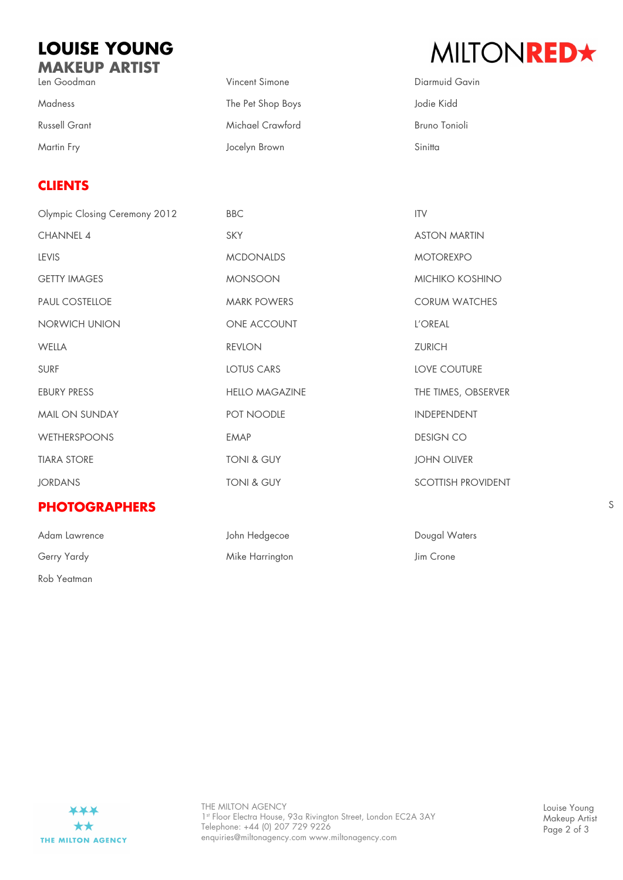### **LOUISE YOUNG MAKEUP ARTIST**

| Len Goodman          | Vincent Simone    | Diarmuid   |
|----------------------|-------------------|------------|
| <b>Madness</b>       | The Pet Shop Boys | Jodie Kidd |
| <b>Russell Grant</b> | Michael Crawford  | Bruno Toni |
| Martin Fry           | Jocelyn Brown     | Sinitta    |

#### **CLIENTS**

| Olympic Closing Ceremony 2012 | <b>BBC</b>            | <b>ITV</b>                |
|-------------------------------|-----------------------|---------------------------|
| <b>CHANNEL 4</b>              | <b>SKY</b>            | <b>ASTON MARTIN</b>       |
| <b>LEVIS</b>                  | <b>MCDONALDS</b>      | <b>MOTOREXPO</b>          |
| <b>GETTY IMAGES</b>           | <b>MONSOON</b>        | <b>MICHIKO KOSHINO</b>    |
| <b>PAUL COSTELLOE</b>         | <b>MARK POWERS</b>    | <b>CORUM WATCHES</b>      |
| NORWICH UNION                 | ONE ACCOUNT           | L'OREAL                   |
| <b>WELLA</b>                  | <b>REVLON</b>         | <b>ZURICH</b>             |
| <b>SURF</b>                   | LOTUS CARS            | <b>LOVE COUTURE</b>       |
| <b>EBURY PRESS</b>            | <b>HELLO MAGAZINE</b> | THE TIMES, OBSERVER       |
| MAIL ON SUNDAY                | POT NOODLE            | <b>INDEPENDENT</b>        |
| <b>WETHERSPOONS</b>           | <b>EMAP</b>           | <b>DESIGN CO</b>          |
| <b>TIARA STORE</b>            | <b>TONI &amp; GUY</b> | <b>JOHN OLIVER</b>        |
| <b>JORDANS</b>                | TONI & GUY            | <b>SCOTTISH PROVIDENT</b> |
|                               |                       |                           |

#### **PHOTOGRAPHERS**

| Adam Lawrence |  |
|---------------|--|
| Gerry Yardy   |  |
| Rob Yeatman   |  |

John Hedgecoe **Dougal Waters** Mike Harrington **Mike Harrington** Jim Crone



Louise Young Makeup Artist Page 2 of 3

# MILTONRED★

Diarmuid Gavin **Bruno Tonioli**